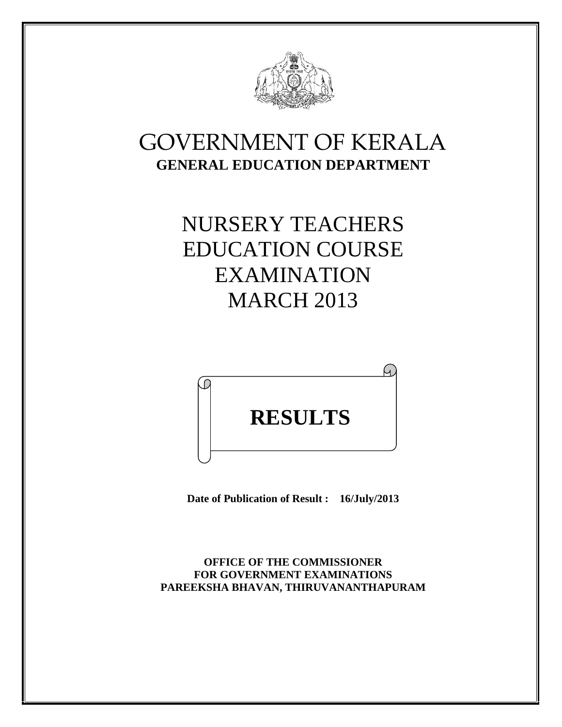

## GOVERNMENT OF KERALA **GENERAL EDUCATION DEPARTMENT**

# NURSERY TEACHERS EDUCATION COURSE EXAMINATION MARCH 2013



**Date of Publication of Result : 16/July/2013**

**OFFICE OF THE COMMISSIONER FOR GOVERNMENT EXAMINATIONS PAREEKSHA BHAVAN, THIRUVANANTHAPURAM**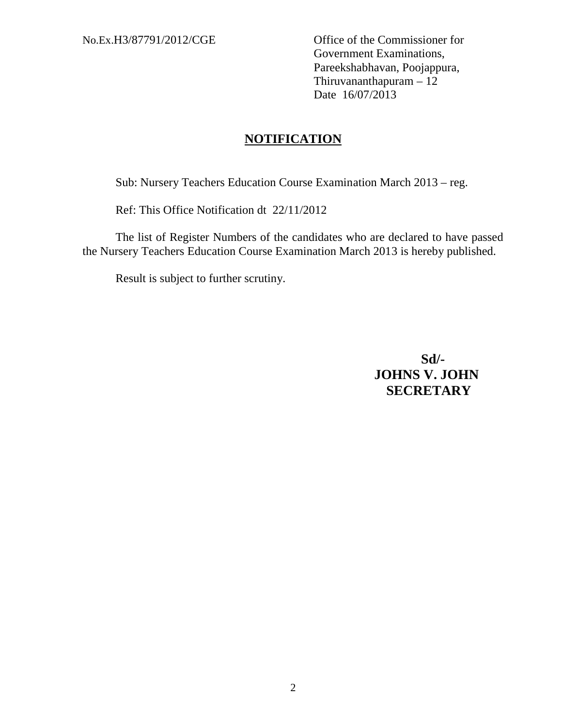No.Ex.H3/87791/2012/CGE Office of the Commissioner for Government Examinations, Pareekshabhavan, Poojappura, Thiruvananthapuram – 12 Date 16/07/2013

#### **NOTIFICATION**

Sub: Nursery Teachers Education Course Examination March 2013 – reg.

Ref: This Office Notification dt 22/11/2012

The list of Register Numbers of the candidates who are declared to have passed the Nursery Teachers Education Course Examination March 2013 is hereby published.

Result is subject to further scrutiny.

**Sd/- JOHNS V. JOHN SECRETARY**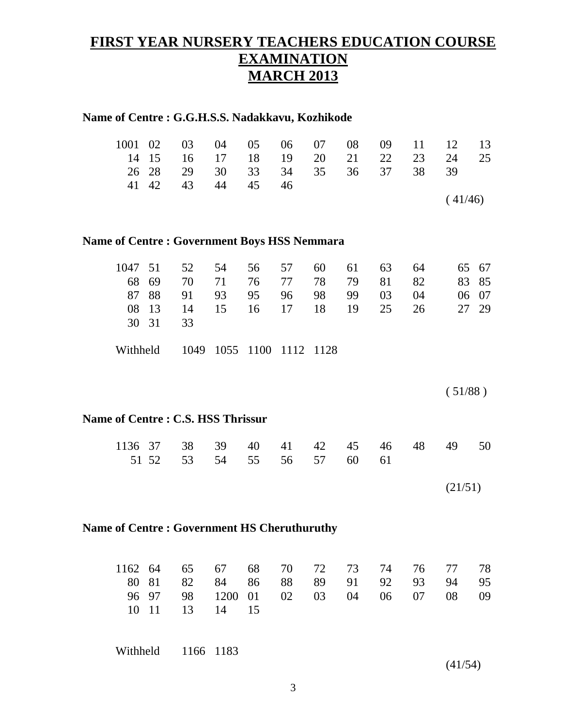### **FIRST YEAR NURSERY TEACHERS EDUCATION COURSE EXAMINATION MARCH 2013**

|          |          | Name of Centre : G.G.H.S.S. Nadakkavu, Kozhikode   |            |          |          |          |          |    |          |          |          |
|----------|----------|----------------------------------------------------|------------|----------|----------|----------|----------|----|----------|----------|----------|
| 1001     | 02       | 03                                                 | 04         | 05       | 06       | 07       | 08       | 09 | 11       | 12       | 13       |
| 14       | 15       | 16                                                 | 17         | 18       | 19       | 20       | 21       | 22 | 23       | 24       | 25       |
| 26       | 28       | 29                                                 | 30         | 33       | 34       | 35       | 36       | 37 | 38       | 39       |          |
| 41       | 42       | 43                                                 | 44         | 45       | 46       |          |          |    |          |          |          |
|          |          |                                                    |            |          |          |          |          |    |          | (41/46)  |          |
|          |          | <b>Name of Centre: Government Boys HSS Nemmara</b> |            |          |          |          |          |    |          |          |          |
| 1047     | 51       | 52                                                 | 54         | 56       | 57       | 60       | 61       | 63 | 64       | 65       | 67       |
| 68       | 69       | 70                                                 | 71         | 76       | 77       | 78       | 79       | 81 | 82       | 83       | 85       |
| 87       | 88       | 91                                                 | 93         | 95       | 96       | 98       | 99       | 03 | 04       | 06       | 07       |
| 08       | 13       | 14                                                 | 15         | 16       | 17       | 18       | 19       | 25 | 26       | 27       | 29       |
| 30       | 31       | 33                                                 |            |          |          |          |          |    |          |          |          |
|          |          |                                                    |            |          |          |          |          |    |          |          |          |
| Withheld |          | 1049                                               | 1055       | 1100     | 1112     | 1128     |          |    |          |          |          |
|          |          |                                                    |            |          |          |          |          |    |          |          |          |
|          |          |                                                    |            |          |          |          |          |    |          | (51/88)  |          |
|          |          | <b>Name of Centre: C.S. HSS Thrissur</b>           |            |          |          |          |          |    |          |          |          |
| 1136     | 37       | 38                                                 | 39         | 40       | 41       | 42       | 45       | 46 | 48       | 49       | 50       |
|          | 51 52    | 53                                                 | 54         | 55       | 56       | 57       | 60       | 61 |          |          |          |
|          |          |                                                    |            |          |          |          |          |    |          |          |          |
|          |          |                                                    |            |          |          |          |          |    |          | (21/51)  |          |
|          |          |                                                    |            |          |          |          |          |    |          |          |          |
|          |          | Name of Centre: Government HS Cheruthuruthy        |            |          |          |          |          |    |          |          |          |
|          |          |                                                    |            |          |          |          |          |    |          |          |          |
| 1162 64  |          | 65                                                 | 67         | 68       | 70       | 72       | 73       | 74 | 76<br>93 | 77       | 78       |
| 80<br>96 | 81<br>97 | 82<br>98                                           | 84         | 86       | 88<br>02 | 89<br>03 | 91<br>04 | 92 | 07       | 94<br>08 | 95<br>09 |
| 10       | 11       | 13                                                 | 1200<br>14 | 01<br>15 |          |          |          | 06 |          |          |          |
|          |          |                                                    |            |          |          |          |          |    |          |          |          |
| Withheld |          |                                                    | 1166 1183  |          |          |          |          |    |          |          |          |
|          |          |                                                    |            |          |          |          |          |    |          | (41/54)  |          |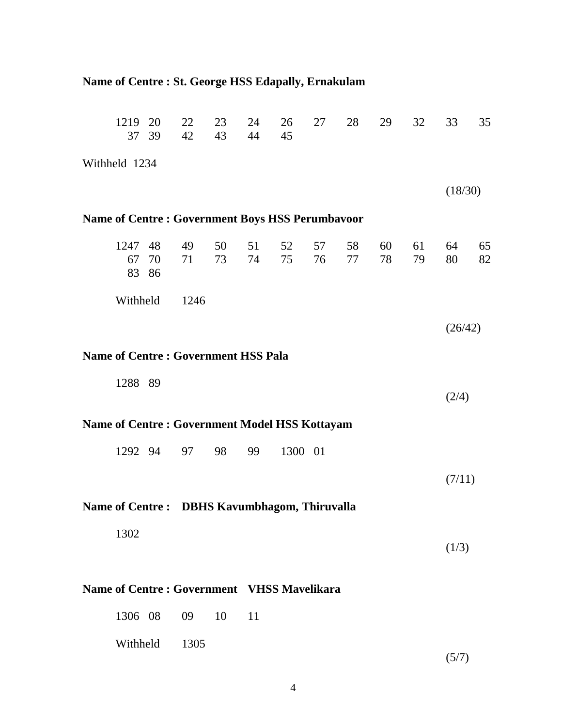| Name of Centre : St. George HSS Edapally, Ernakulam  |                                                        |    |          |          |          |          |          |          |          |          |          |          |  |  |
|------------------------------------------------------|--------------------------------------------------------|----|----------|----------|----------|----------|----------|----------|----------|----------|----------|----------|--|--|
|                                                      | 1219 20<br>37 39                                       |    | 22<br>42 | 23<br>43 | 24<br>44 | 26<br>45 | 27       | 28       | 29       | 32       | 33       | 35       |  |  |
| Withheld 1234                                        |                                                        |    |          |          |          |          |          |          |          |          |          |          |  |  |
|                                                      |                                                        |    |          |          |          |          |          |          |          |          | (18/30)  |          |  |  |
|                                                      | <b>Name of Centre: Government Boys HSS Perumbavoor</b> |    |          |          |          |          |          |          |          |          |          |          |  |  |
|                                                      | 1247 48<br>67<br>83 86                                 | 70 | 49<br>71 | 50<br>73 | 51<br>74 | 52<br>75 | 57<br>76 | 58<br>77 | 60<br>78 | 61<br>79 | 64<br>80 | 65<br>82 |  |  |
|                                                      | Withheld                                               |    | 1246     |          |          |          |          |          |          |          |          |          |  |  |
|                                                      |                                                        |    |          |          |          |          |          |          |          |          | (26/42)  |          |  |  |
| <b>Name of Centre: Government HSS Pala</b>           |                                                        |    |          |          |          |          |          |          |          |          |          |          |  |  |
|                                                      | 1288 89                                                |    |          |          |          |          |          |          |          |          | (2/4)    |          |  |  |
| <b>Name of Centre: Government Model HSS Kottayam</b> |                                                        |    |          |          |          |          |          |          |          |          |          |          |  |  |
|                                                      | 1292 94                                                |    | 97       | 98       | 99       | 1300 01  |          |          |          |          |          |          |  |  |
|                                                      |                                                        |    |          |          |          |          |          |          |          |          | (7/11)   |          |  |  |
| Name of Centre: DBHS Kavumbhagom, Thiruvalla         |                                                        |    |          |          |          |          |          |          |          |          |          |          |  |  |
|                                                      | 1302                                                   |    |          |          |          |          |          |          |          |          | (1/3)    |          |  |  |
| Name of Centre: Government VHSS Mavelikara           |                                                        |    |          |          |          |          |          |          |          |          |          |          |  |  |
|                                                      | 1306 08                                                |    | 09       | 10       | 11       |          |          |          |          |          |          |          |  |  |
|                                                      | Withheld                                               |    | 1305     |          |          |          |          |          |          |          | (5/7)    |          |  |  |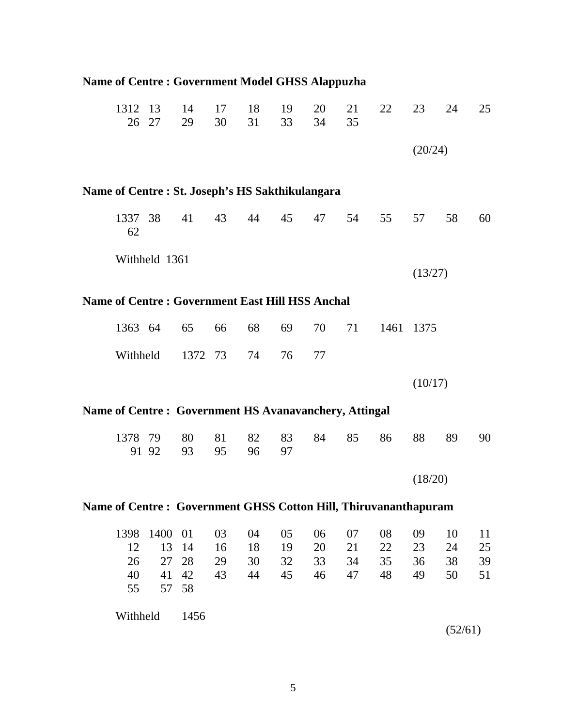| <b>Name of Centre: Government Model GHSS Alappuzha</b>          |               |               |                                                        |          |          |          |          |          |      |         |         |    |
|-----------------------------------------------------------------|---------------|---------------|--------------------------------------------------------|----------|----------|----------|----------|----------|------|---------|---------|----|
|                                                                 | 1312 13<br>26 | 27            | 14<br>29                                               | 17<br>30 | 18<br>31 | 19<br>33 | 20<br>34 | 21<br>35 | 22   | 23      | 24      | 25 |
|                                                                 |               |               |                                                        |          |          |          |          |          |      | (20/24) |         |    |
|                                                                 |               |               | Name of Centre: St. Joseph's HS Sakthikulangara        |          |          |          |          |          |      |         |         |    |
|                                                                 | 1337 38<br>62 |               | 41                                                     | 43       | 44       | 45       | 47       | 54       | 55   | 57      | 58      | 60 |
|                                                                 |               | Withheld 1361 |                                                        |          |          |          |          |          |      |         |         |    |
|                                                                 |               |               |                                                        |          |          |          |          |          |      | (13/27) |         |    |
|                                                                 |               |               | <b>Name of Centre: Government East Hill HSS Anchal</b> |          |          |          |          |          |      |         |         |    |
|                                                                 | 1363 64       |               | 65                                                     | 66       | 68       | 69       | 70       | 71       | 1461 | 1375    |         |    |
|                                                                 | Withheld      |               | 1372 73                                                |          | 74       | 76       | 77       |          |      |         |         |    |
|                                                                 |               |               |                                                        |          |          |          |          |          |      | (10/17) |         |    |
|                                                                 |               |               | Name of Centre: Government HS Avanavanchery, Attingal  |          |          |          |          |          |      |         |         |    |
|                                                                 | 1378 79       | 91 92         | 80<br>93                                               | 81<br>95 | 82<br>96 | 83<br>97 | 84       | 85       | 86   | 88      | 89      | 90 |
|                                                                 |               |               |                                                        |          |          |          |          |          |      | (18/20) |         |    |
| Name of Centre: Government GHSS Cotton Hill, Thiruvananthapuram |               |               |                                                        |          |          |          |          |          |      |         |         |    |
|                                                                 | 1398          | 1400          | 01                                                     | 03       | 04       | 05       | 06       | 07       | 08   | 09      | 10      | 11 |
|                                                                 | 12            | 13            | 14                                                     | 16       | 18       | 19       | 20       | 21       | 22   | 23      | 24      | 25 |
|                                                                 | 26            | 27            | 28                                                     | 29       | 30       | 32       | 33       | 34       | 35   | 36      | 38      | 39 |
|                                                                 | 40<br>55      | 41<br>57      | 42<br>58                                               | 43       | 44       | 45       | 46       | 47       | 48   | 49      | 50      | 51 |
|                                                                 | Withheld      |               | 1456                                                   |          |          |          |          |          |      |         | (52/61) |    |

5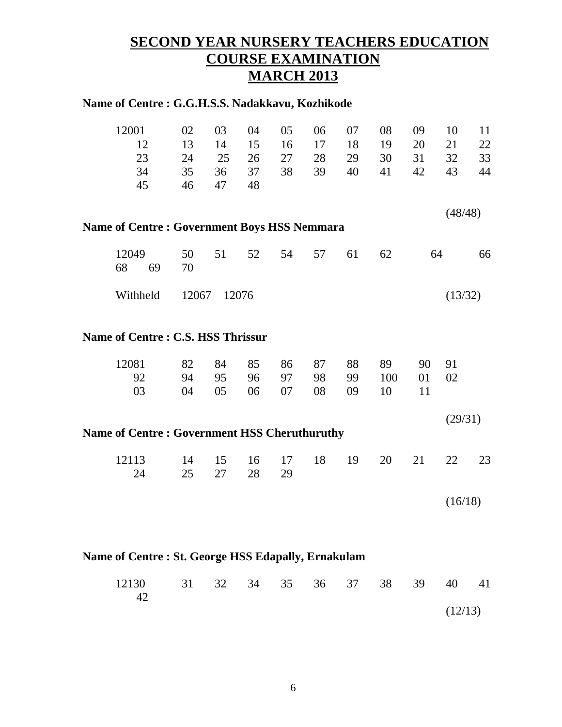#### **SECOND YEAR NURSERY TEACHERS EDUCATION COURSE EXAMINATION MARCH 2013**

| Name of Centre : G.G.H.S.S. Nadakkavu, Kozhikode    |                |          |          |          |    |    |     |    |         |    |
|-----------------------------------------------------|----------------|----------|----------|----------|----|----|-----|----|---------|----|
| 12001                                               | 02             | 03       | 04       | 05       | 06 | 07 | 08  | 09 | 10      | 11 |
| 12                                                  | 13             | 14       | 15       | 16       | 17 | 18 | 19  | 20 | 21      | 22 |
| 23                                                  | 24             | 25       | 26       | 27       | 28 | 29 | 30  | 31 | 32      | 33 |
| 34                                                  | 35             | 36       | 37       | 38       | 39 | 40 | 41  | 42 | 43      | 44 |
| 45                                                  | 46             | 47       | 48       |          |    |    |     |    |         |    |
|                                                     |                |          |          |          |    |    |     |    | (48/48) |    |
| <b>Name of Centre: Government Boys HSS Nemmara</b>  |                |          |          |          |    |    |     |    |         |    |
| 12049<br>68<br>69                                   | 50<br>70       | 51       | 52       | 54       | 57 | 61 | 62  |    | 64      | 66 |
| Withheld                                            | 12067<br>12076 |          |          |          |    |    |     |    |         |    |
| Name of Centre: C.S. HSS Thrissur                   |                |          |          |          |    |    |     |    |         |    |
| 12081                                               | 82             | 84       | 85       | 86       | 87 | 88 | 89  | 90 | 91      |    |
| 92                                                  | 94             | 95       | 96       | 97       | 98 | 99 | 100 | 01 | 02      |    |
| 03                                                  | 04             | 05       | 06       | 07       | 08 | 09 | 10  | 11 |         |    |
|                                                     |                |          |          |          |    |    |     |    | (29/31) |    |
| <b>Name of Centre: Government HSS Cheruthuruthy</b> |                |          |          |          |    |    |     |    |         |    |
| 12113<br>24                                         | 14<br>25       | 15<br>27 | 16<br>28 | 17<br>29 | 18 | 19 | 20  | 21 | 22      | 23 |
|                                                     |                |          |          |          |    |    |     |    | (16/18) |    |
| Name of Centre: St. George HSS Edapally, Ernakulam  |                |          |          |          |    |    |     |    |         |    |
|                                                     |                |          |          |          |    |    |     |    |         |    |

| 12130 31 32 34 35 36 37 38 39 40 41 |  |  |  |  |         |  |
|-------------------------------------|--|--|--|--|---------|--|
| -42                                 |  |  |  |  |         |  |
|                                     |  |  |  |  | (12/13) |  |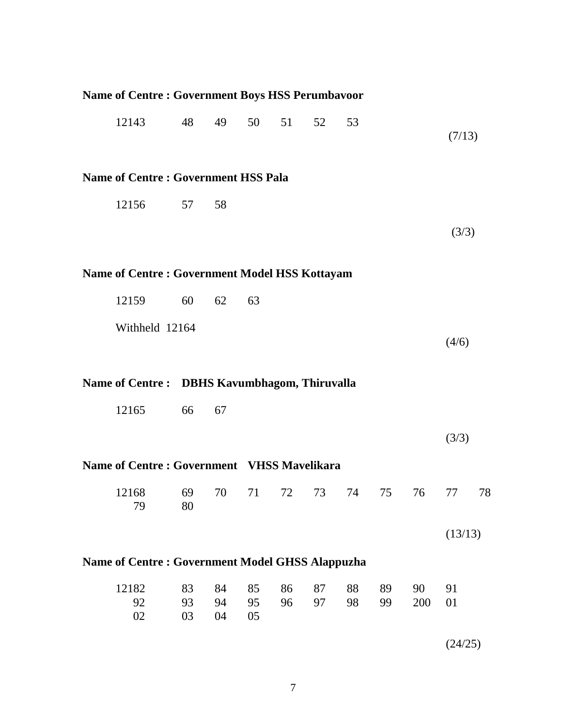| <b>Name of Centre: Government Boys HSS Perumbavoor</b> |          |          |          |                                            |    |    |    |     |         |    |  |  |  |  |  |
|--------------------------------------------------------|----------|----------|----------|--------------------------------------------|----|----|----|-----|---------|----|--|--|--|--|--|
| 12143                                                  | 48       | 49       | 50       | 51                                         | 52 | 53 |    |     | (7/13)  |    |  |  |  |  |  |
| <b>Name of Centre: Government HSS Pala</b>             |          |          |          |                                            |    |    |    |     |         |    |  |  |  |  |  |
| 12156                                                  | 57       | 58       |          |                                            |    |    |    |     |         |    |  |  |  |  |  |
|                                                        |          |          |          |                                            |    |    |    |     | (3/3)   |    |  |  |  |  |  |
| <b>Name of Centre: Government Model HSS Kottayam</b>   |          |          |          |                                            |    |    |    |     |         |    |  |  |  |  |  |
| 12159                                                  | 60       | 62       | 63       |                                            |    |    |    |     |         |    |  |  |  |  |  |
| Withheld 12164                                         |          |          |          |                                            |    |    |    |     |         |    |  |  |  |  |  |
|                                                        |          |          |          |                                            |    |    |    |     | (4/6)   |    |  |  |  |  |  |
| Name of Centre: DBHS Kavumbhagom, Thiruvalla           |          |          |          |                                            |    |    |    |     |         |    |  |  |  |  |  |
| 12165                                                  | 66       | 67       |          |                                            |    |    |    |     |         |    |  |  |  |  |  |
|                                                        |          |          |          |                                            |    |    |    |     | (3/3)   |    |  |  |  |  |  |
|                                                        |          |          |          | Name of Centre: Government VHSS Mavelikara |    |    |    |     |         |    |  |  |  |  |  |
|                                                        |          |          |          |                                            |    |    |    |     |         |    |  |  |  |  |  |
| 12168<br>79                                            | 69<br>80 | 70       | 71       | 72                                         | 73 | 74 | 75 | 76  | 77      | 78 |  |  |  |  |  |
|                                                        |          |          |          |                                            |    |    |    |     | (13/13) |    |  |  |  |  |  |
| <b>Name of Centre: Government Model GHSS Alappuzha</b> |          |          |          |                                            |    |    |    |     |         |    |  |  |  |  |  |
| 12182                                                  | 83       | 84       | 85       | 86                                         | 87 | 88 | 89 | 90  | 91      |    |  |  |  |  |  |
| 92<br>02                                               | 93<br>03 | 94<br>04 | 95<br>05 | 96                                         | 97 | 98 | 99 | 200 | 01      |    |  |  |  |  |  |